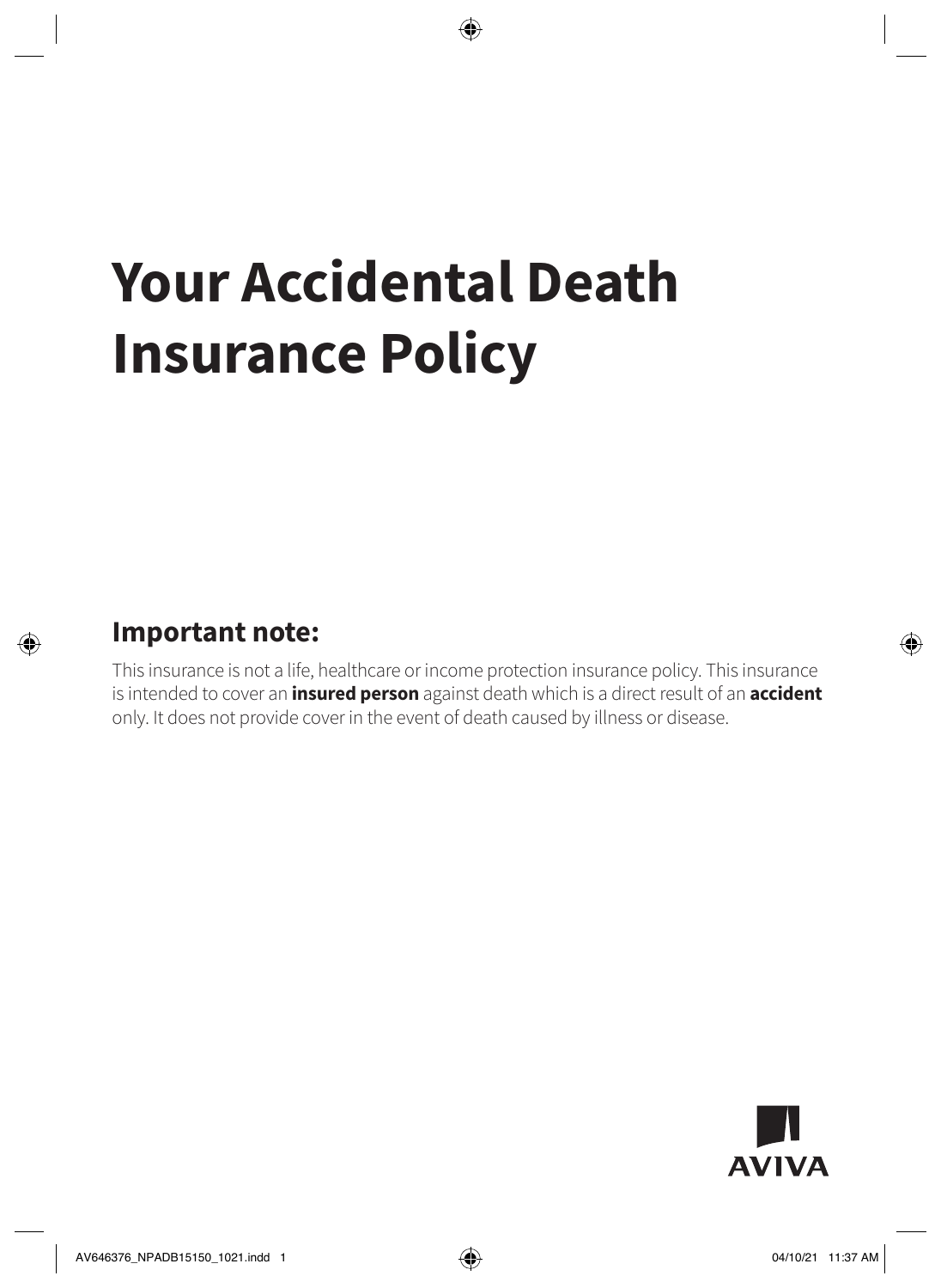# **Your Accidental Death Insurance Policy**

### **Important note:**

This insurance is not a life, healthcare or income protection insurance policy. This insurance is intended to cover an **insured person** against death which is a direct result of an **accident** only. It does not provide cover in the event of death caused by illness or disease.

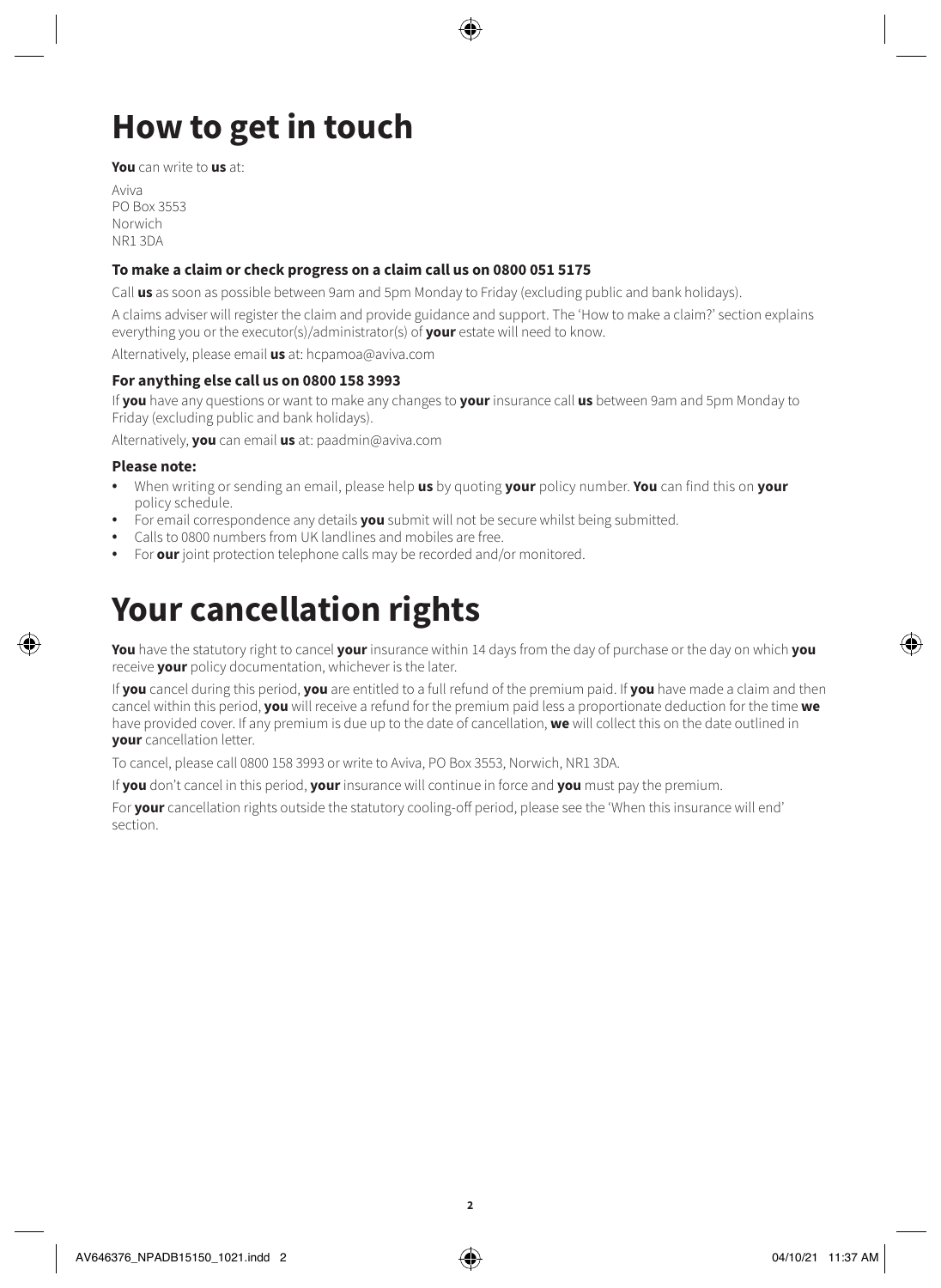# **How to get in touch**

**You** can write to **us** at:

Aviva PO Box 3553 Norwich NR1 3DA

### **To make a claim or check progress on a claim call us on 0800 051 5175**

Call **us** as soon as possible between 9am and 5pm Monday to Friday (excluding public and bank holidays).

A claims adviser will register the claim and provide guidance and support. The 'How to make a claim?' section explains everything you or the executor(s)/administrator(s) of **your** estate will need to know.

Alternatively, please email **us** at: [hcpamoa@aviva.com](mailto:hcpamoa@aviva.com)

### **For anything else call us on 0800 158 3993**

If **you** have any questions or want to make any changes to **your** insurance call **us** between 9am and 5pm Monday to Friday (excluding public and bank holidays).

Alternatively, **you** can email **us** at: [paadmin@aviva.com](mailto:paadmin@aviva.com)

### **Please note:**

- When writing or sending an email, please help **us** by quoting **your** policy number. **You** can find this on **your** policy schedule.
- For email correspondence any details **you** submit will not be secure whilst being submitted.
- Calls to 0800 numbers from UK landlines and mobiles are free.
- For **our** joint protection telephone calls may be recorded and/or monitored.

### **Your cancellation rights**

**You** have the statutory right to cancel **your** insurance within 14 days from the day of purchase or the day on which **you** receive **your** policy documentation, whichever is the later.

If **you** cancel during this period, **you** are entitled to a full refund of the premium paid. If **you** have made a claim and then cancel within this period, **you** will receive a refund for the premium paid less a proportionate deduction for the time **we** have provided cover. If any premium is due up to the date of cancellation, **we** will collect this on the date outlined in **your** cancellation letter.

To cancel, please call 0800 158 3993 or write to Aviva, PO Box 3553, Norwich, NR1 3DA.

If **you** don't cancel in this period, **your** insurance will continue in force and **you** must pay the premium.

For **your** cancellation rights outside the statutory cooling-off period, please see the 'When this insurance will end' section.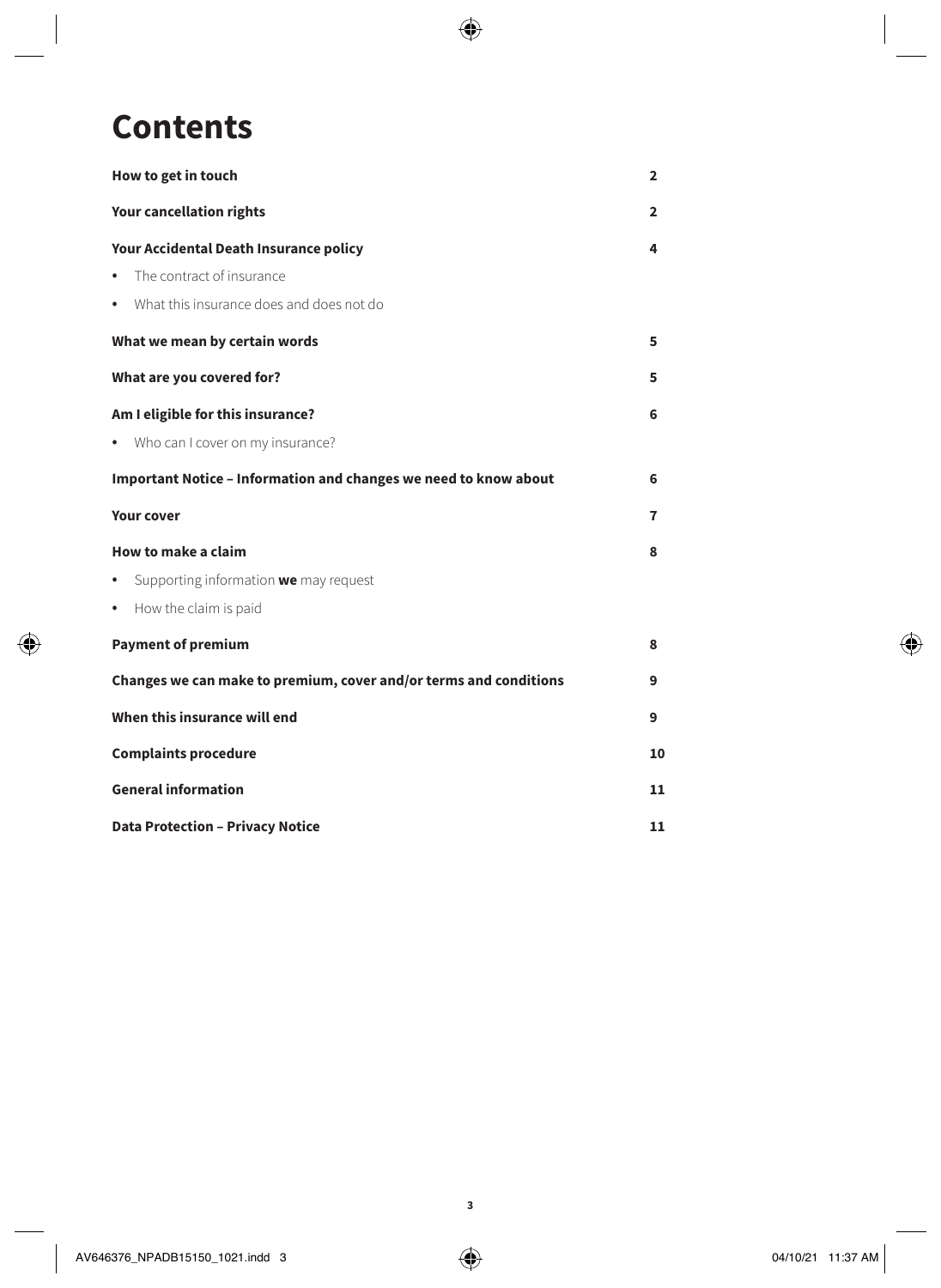### **Contents**

| How to get in touch                                               | $\overline{2}$ |
|-------------------------------------------------------------------|----------------|
| <b>Your cancellation rights</b>                                   | $\overline{2}$ |
| Your Accidental Death Insurance policy                            |                |
| The contract of insurance<br>٠                                    |                |
| • What this insurance does and does not do                        |                |
| What we mean by certain words                                     | 5              |
| What are you covered for?                                         | 5              |
| Am I eligible for this insurance?                                 | 6              |
| • Who can I cover on my insurance?                                |                |
| Important Notice - Information and changes we need to know about  | 6              |
| <b>Your cover</b>                                                 | 7              |
| How to make a claim                                               | 8              |
| Supporting information we may request<br>٠                        |                |
| • How the claim is paid                                           |                |
| <b>Payment of premium</b>                                         | 8              |
| Changes we can make to premium, cover and/or terms and conditions | 9              |
| When this insurance will end                                      | 9              |
| <b>Complaints procedure</b>                                       |                |
| <b>General information</b>                                        |                |
| <b>Data Protection - Privacy Notice</b>                           |                |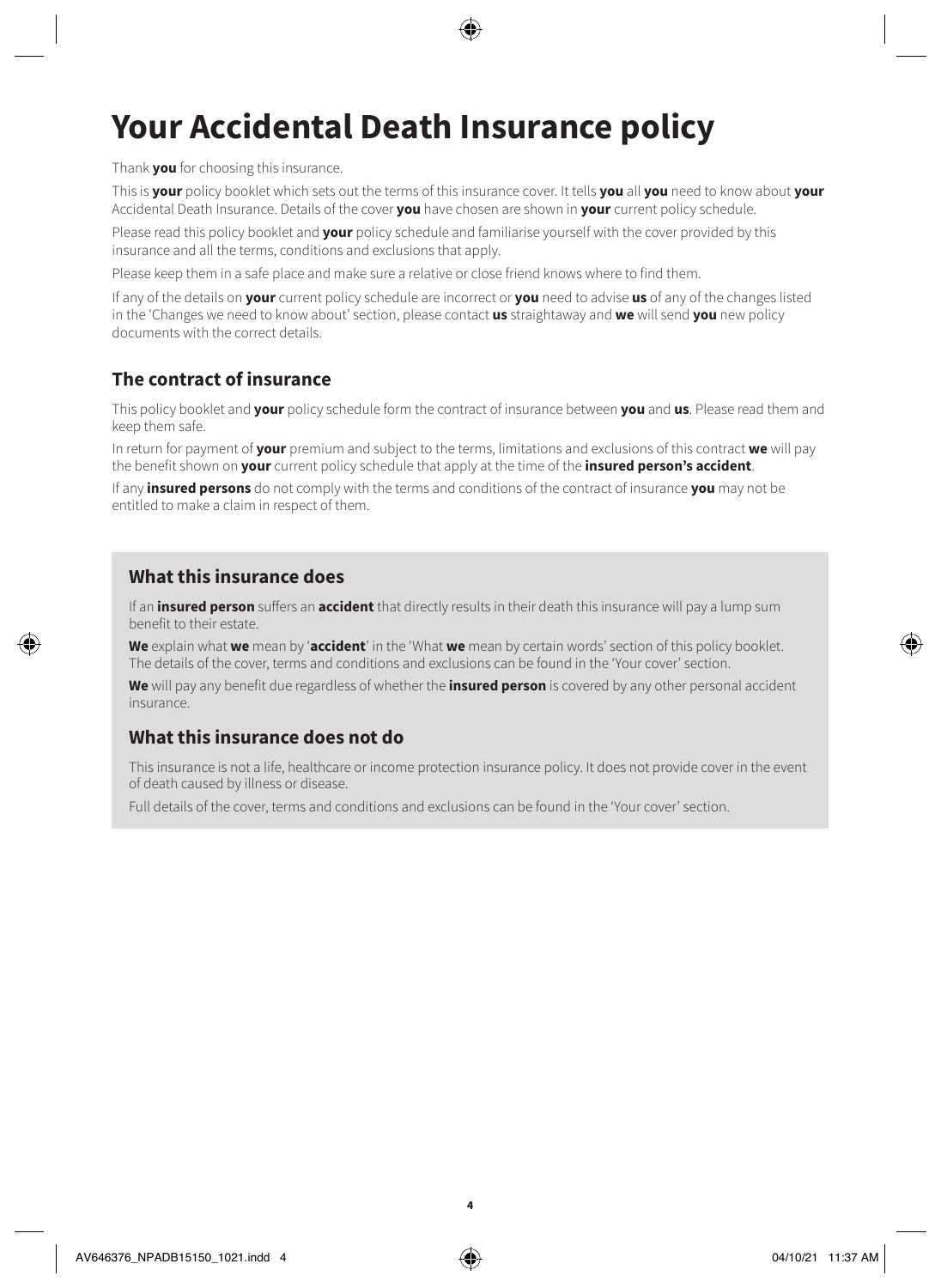# **Your Accidental Death Insurance policy**

Thank **you** for choosing this insurance.

This is **your** policy booklet which sets out the terms of this insurance cover. It tells **you** all **you** need to know about **your** Accidental Death Insurance. Details of the cover **you** have chosen are shown in **your** current policy schedule.

Please read this policy booklet and **your** policy schedule and familiarise yourself with the cover provided by this insurance and all the terms, conditions and exclusions that apply.

Please keep them in a safe place and make sure a relative or close friend knows where to find them.

If any of the details on **your** current policy schedule are incorrect or **you** need to advise **us** of any of the changes listed in the 'Changes we need to know about' section, please contact **us** straightaway and **we** will send **you** new policy documents with the correct details.

### **The contract of insurance**

This policy booklet and **your** policy schedule form the contract of insurance between **you** and **us**. Please read them and keep them safe.

In return for payment of **your** premium and subject to the terms, limitations and exclusions of this contract **we** will pay the benefit shown on **your** current policy schedule that apply at the time of the **insured person's accident**.

If any **insured persons** do not comply with the terms and conditions of the contract of insurance **you** may not be entitled to make a claim in respect of them.

### **What this insurance does**

If an **insured person** suffers an **accident** that directly results in their death this insurance will pay a lump sum benefit to their estate.

**We** explain what **we** mean by '**accident**' in the 'What **we** mean by certain words' section of this policy booklet. The details of the cover, terms and conditions and exclusions can be found in the 'Your cover' section.

**We** will pay any benefit due regardless of whether the **insured person** is covered by any other personal accident insurance.

### **What this insurance does not do**

This insurance is not a life, healthcare or income protection insurance policy. It does not provide cover in the event of death caused by illness or disease.

Full details of the cover, terms and conditions and exclusions can be found in the 'Your cover' section.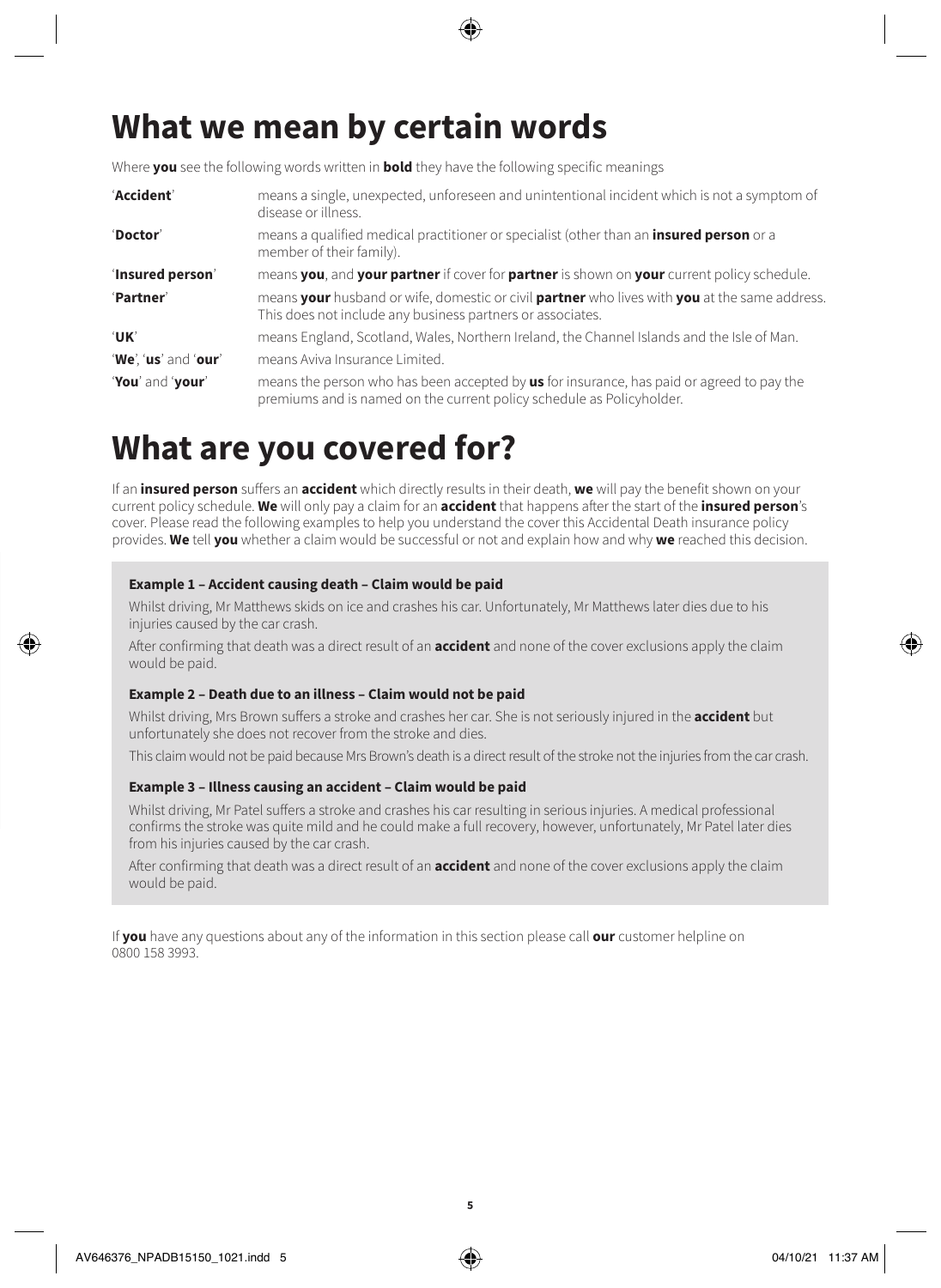# **What we mean by certain words**

Where **you** see the following words written in **bold** they have the following specific meanings

| 'Accident'           | means a single, unexpected, unforeseen and unintentional incident which is not a symptom of<br>disease or illness.                                                 |
|----------------------|--------------------------------------------------------------------------------------------------------------------------------------------------------------------|
| 'Doctor'             | means a qualified medical practitioner or specialist (other than an <b>insured person</b> or a<br>member of their family).                                         |
| 'Insured person'     | means you, and your partner if cover for partner is shown on your current policy schedule.                                                                         |
| 'Partner'            | means your husband or wife, domestic or civil partner who lives with you at the same address.<br>This does not include any business partners or associates.        |
| 'UK'                 | means England, Scotland, Wales, Northern Ireland, the Channel Islands and the Isle of Man.                                                                         |
| 'We', 'us' and 'our' | means Aviva Insurance Limited.                                                                                                                                     |
| 'You' and 'your'     | means the person who has been accepted by us for insurance, has paid or agreed to pay the<br>premiums and is named on the current policy schedule as Policyholder. |

### **What are you covered for?**

If an **insured person** suffers an **accident** which directly results in their death, **we** will pay the benefit shown on your current policy schedule. **We** will only pay a claim for an **accident** that happens after the start of the **insured person**'s cover. Please read the following examples to help you understand the cover this Accidental Death insurance policy provides. **We** tell **you** whether a claim would be successful or not and explain how and why **we** reached this decision.

### **Example 1 – Accident causing death – Claim would be paid**

Whilst driving, Mr Matthews skids on ice and crashes his car. Unfortunately, Mr Matthews later dies due to his injuries caused by the car crash.

After confirming that death was a direct result of an **accident** and none of the cover exclusions apply the claim would be paid.

#### **Example 2 – Death due to an illness – Claim would not be paid**

Whilst driving, Mrs Brown suffers a stroke and crashes her car. She is not seriously injured in the **accident** but unfortunately she does not recover from the stroke and dies.

This claim would not be paid because Mrs Brown's death is a direct result of the stroke not the injuries from the car crash.

#### **Example 3 – Illness causing an accident – Claim would be paid**

Whilst driving, Mr Patel suffers a stroke and crashes his car resulting in serious injuries. A medical professional confirms the stroke was quite mild and he could make a full recovery, however, unfortunately, Mr Patel later dies from his injuries caused by the car crash.

After confirming that death was a direct result of an **accident** and none of the cover exclusions apply the claim would be paid.

If **you** have any questions about any of the information in this section please call **our** customer helpline on 0800 158 3993.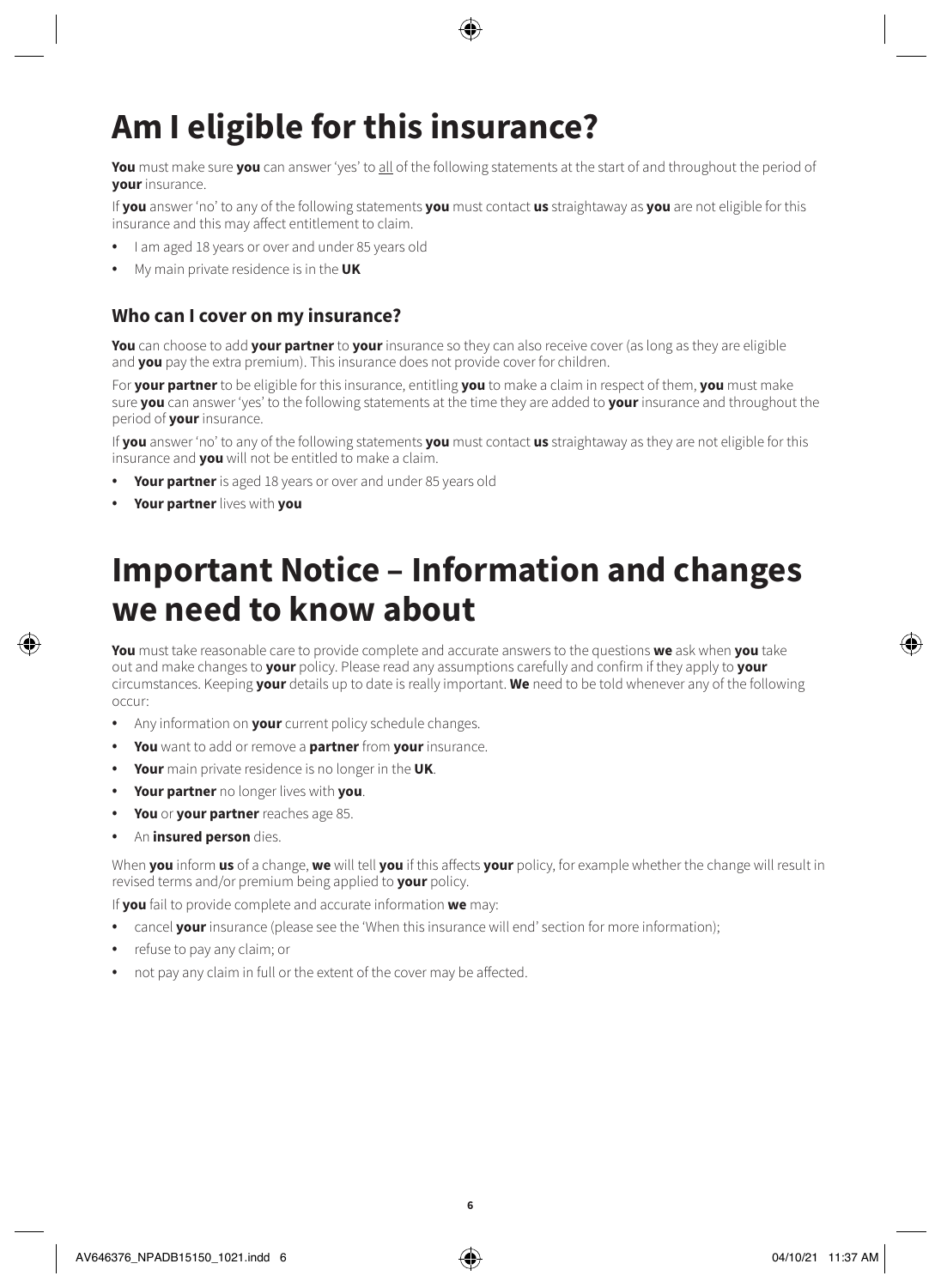# **Am I eligible for this insurance?**

**You** must make sure **you** can answer 'yes' to all of the following statements at the start of and throughout the period of **your** insurance.

If **you** answer 'no' to any of the following statements **you** must contact **us** straightaway as **you** are not eligible for this insurance and this may affect entitlement to claim.

- I am aged 18 years or over and under 85 years old
- My main private residence is in the **UK**

### **Who can I cover on my insurance?**

**You** can choose to add **your partner** to **your** insurance so they can also receive cover (as long as they are eligible and **you** pay the extra premium). This insurance does not provide cover for children.

For **your partner** to be eligible for this insurance, entitling **you** to make a claim in respect of them, **you** must make sure **you** can answer 'yes' to the following statements at the time they are added to **your** insurance and throughout the period of **your** insurance.

If **you** answer 'no' to any of the following statements **you** must contact **us** straightaway as they are not eligible for this insurance and **you** will not be entitled to make a claim.

- **Your partner** is aged 18 years or over and under 85 years old
- **Your partner** lives with **you**

### **Important Notice – Information and changes we need to know about**

**You** must take reasonable care to provide complete and accurate answers to the questions **we** ask when **you** take out and make changes to **your** policy. Please read any assumptions carefully and confirm if they apply to **your** circumstances. Keeping **your** details up to date is really important. **We** need to be told whenever any of the following occur:

- Any information on **your** current policy schedule changes.
- **You** want to add or remove a **partner** from **your** insurance.
- **Your** main private residence is no longer in the **UK**.
- **Your partner** no longer lives with **you**.
- **You** or **your partner** reaches age 85.
- An **insured person** dies.

When **you** inform **us** of a change, **we** will tell **you** if this affects **your** policy, for example whether the change will result in revised terms and/or premium being applied to **your** policy.

If **you** fail to provide complete and accurate information **we** may:

- cancel **your** insurance (please see the 'When this insurance will end' section for more information);
- refuse to pay any claim; or
- not pay any claim in full or the extent of the cover may be affected.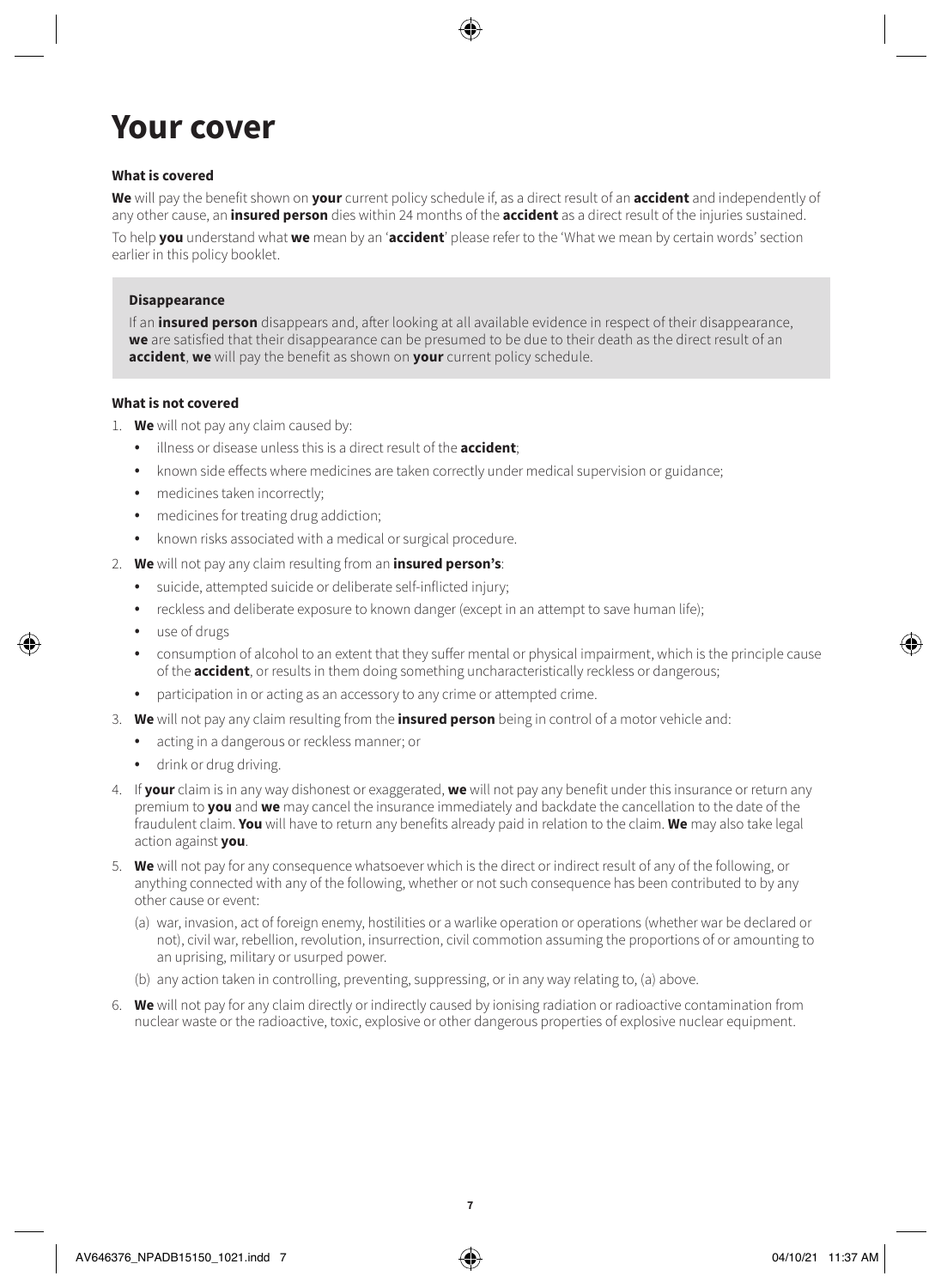# **Your cover**

### **What is covered**

**We** will pay the benefit shown on **your** current policy schedule if, as a direct result of an **accident** and independently of any other cause, an **insured person** dies within 24 months of the **accident** as a direct result of the injuries sustained.

To help **you** understand what **we** mean by an '**accident**' please refer to the 'What we mean by certain words' section earlier in this policy booklet.

#### **Disappearance**

If an **insured person** disappears and, after looking at all available evidence in respect of their disappearance, **we** are satisfied that their disappearance can be presumed to be due to their death as the direct result of an **accident**, **we** will pay the benefit as shown on **your** current policy schedule.

#### **What is not covered**

- 1. **We** will not pay any claim caused by:
	- illness or disease unless this is a direct result of the **accident**;
	- known side effects where medicines are taken correctly under medical supervision or guidance;
	- medicines taken incorrectly:
	- medicines for treating drug addiction;
	- known risks associated with a medical or surgical procedure.
- 2. **We** will not pay any claim resulting from an **insured person's**:
	- suicide, attempted suicide or deliberate self-inflicted injury;
	- reckless and deliberate exposure to known danger (except in an attempt to save human life);
	- use of drugs
	- consumption of alcohol to an extent that they suffer mental or physical impairment, which is the principle cause of the **accident**, or results in them doing something uncharacteristically reckless or dangerous;
	- participation in or acting as an accessory to any crime or attempted crime.
- 3. **We** will not pay any claim resulting from the **insured person** being in control of a motor vehicle and:
	- acting in a dangerous or reckless manner; or
	- drink or drug driving.
- 4. If **your** claim is in any way dishonest or exaggerated, **we** will not pay any benefit under this insurance or return any premium to **you** and **we** may cancel the insurance immediately and backdate the cancellation to the date of the fraudulent claim. **You** will have to return any benefits already paid in relation to the claim. **We** may also take legal action against **you**.
- 5. **We** will not pay for any consequence whatsoever which is the direct or indirect result of any of the following, or anything connected with any of the following, whether or not such consequence has been contributed to by any other cause or event:
	- (a) war, invasion, act of foreign enemy, hostilities or a warlike operation or operations (whether war be declared or not), civil war, rebellion, revolution, insurrection, civil commotion assuming the proportions of or amounting to an uprising, military or usurped power.
	- (b) any action taken in controlling, preventing, suppressing, or in any way relating to, (a) above.
- 6. **We** will not pay for any claim directly or indirectly caused by ionising radiation or radioactive contamination from nuclear waste or the radioactive, toxic, explosive or other dangerous properties of explosive nuclear equipment.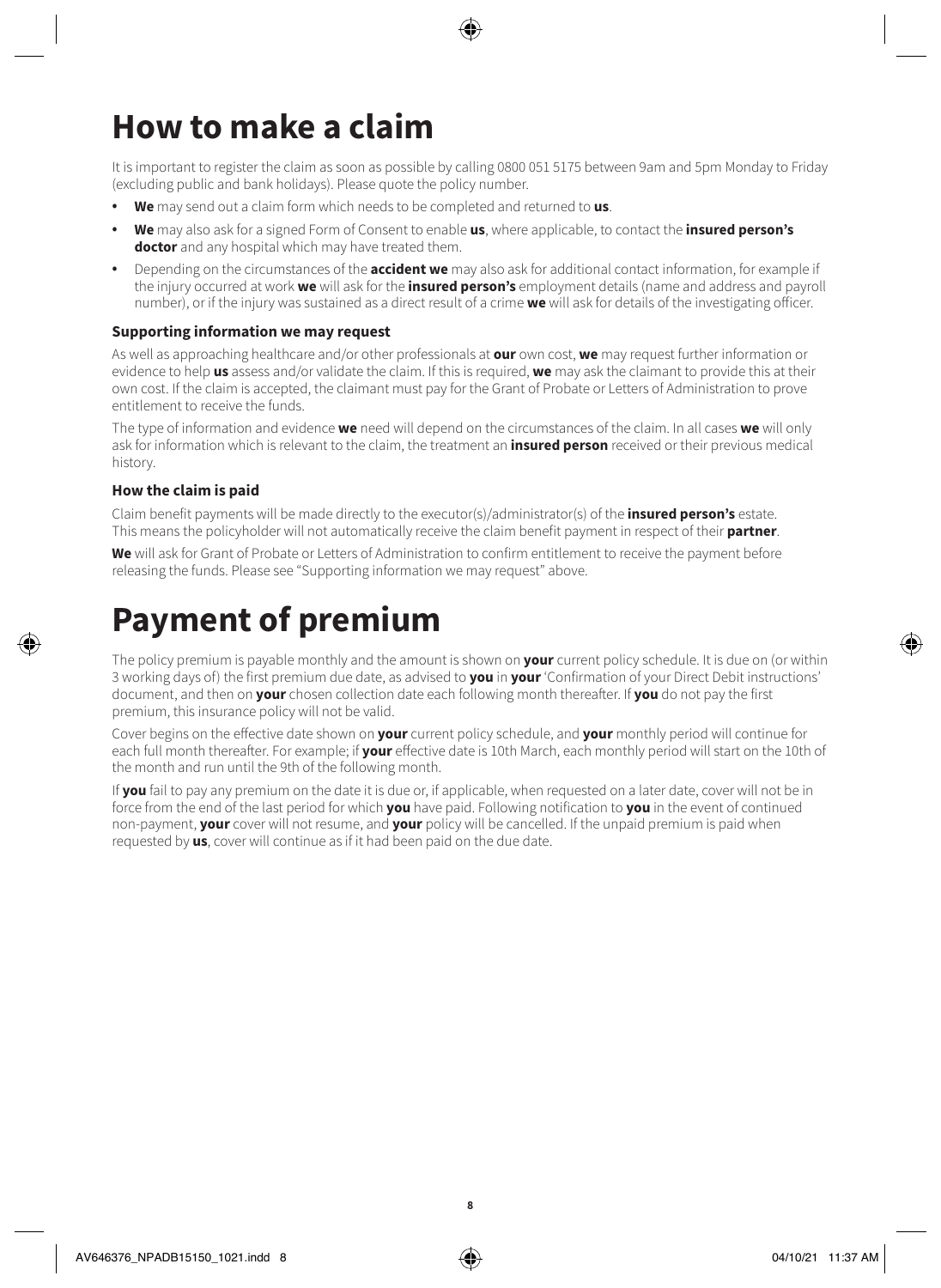# **How to make a claim**

It is important to register the claim as soon as possible by calling 0800 051 5175 between 9am and 5pm Monday to Friday (excluding public and bank holidays). Please quote the policy number.

- **We** may send out a claim form which needs to be completed and returned to **us**.
- **We** may also ask for a signed Form of Consent to enable **us**, where applicable, to contact the **insured person's doctor** and any hospital which may have treated them.
- Depending on the circumstances of the **accident we** may also ask for additional contact information, for example if the injury occurred at work **we** will ask for the **insured person's** employment details (name and address and payroll number), or if the injury was sustained as a direct result of a crime **we** will ask for details of the investigating officer.

### **Supporting information we may request**

As well as approaching healthcare and/or other professionals at **our** own cost, **we** may request further information or evidence to help **us** assess and/or validate the claim. If this is required, **we** may ask the claimant to provide this at their own cost. If the claim is accepted, the claimant must pay for the Grant of Probate or Letters of Administration to prove entitlement to receive the funds.

The type of information and evidence **we** need will depend on the circumstances of the claim. In all cases **we** will only ask for information which is relevant to the claim, the treatment an **insured person** received or their previous medical history.

### **How the claim is paid**

Claim benefit payments will be made directly to the executor(s)/administrator(s) of the **insured person's** estate. This means the policyholder will not automatically receive the claim benefit payment in respect of their **partner**.

**We** will ask for Grant of Probate or Letters of Administration to confirm entitlement to receive the payment before releasing the funds. Please see "Supporting information we may request" above.

### **Payment of premium**

The policy premium is payable monthly and the amount is shown on **your** current policy schedule. It is due on (or within 3 working days of) the first premium due date, as advised to **you** in **your** 'Confirmation of your Direct Debit instructions' document, and then on **your** chosen collection date each following month thereafter. If **you** do not pay the first premium, this insurance policy will not be valid.

Cover begins on the effective date shown on **your** current policy schedule, and **your** monthly period will continue for each full month thereafter. For example; if **your** effective date is 10th March, each monthly period will start on the 10th of the month and run until the 9th of the following month.

If **you** fail to pay any premium on the date it is due or, if applicable, when requested on a later date, cover will not be in force from the end of the last period for which **you** have paid. Following notification to **you** in the event of continued non-payment, **your** cover will not resume, and **your** policy will be cancelled. If the unpaid premium is paid when requested by **us**, cover will continue as if it had been paid on the due date.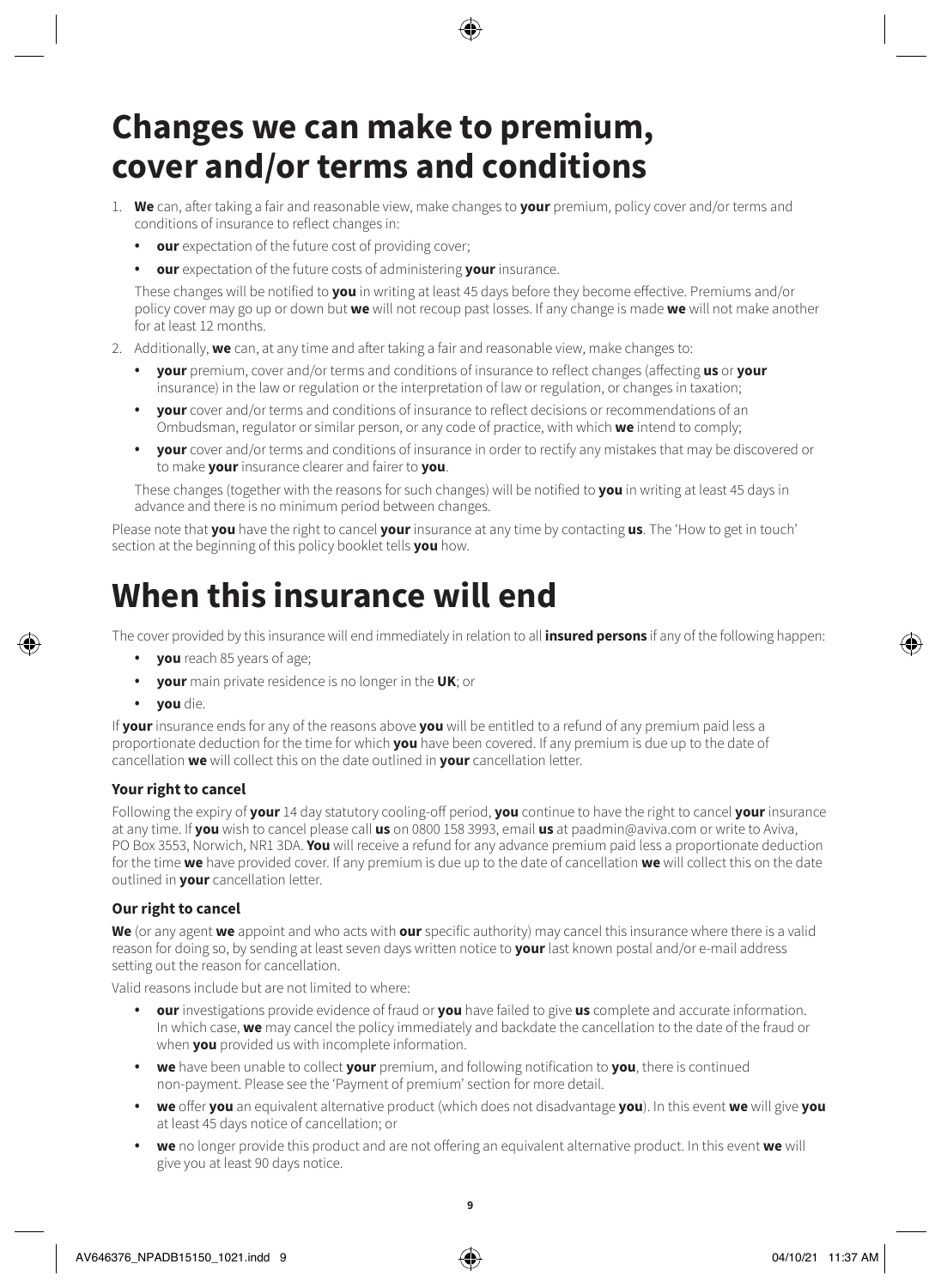### **Changes we can make to premium, cover and/or terms and conditions**

- 1. **We** can, after taking a fair and reasonable view, make changes to **your** premium, policy cover and/or terms and conditions of insurance to reflect changes in:
	- **our** expectation of the future cost of providing cover;
	- **our** expectation of the future costs of administering **your** insurance.

These changes will be notified to **you** in writing at least 45 days before they become effective. Premiums and/or policy cover may go up or down but **we** will not recoup past losses. If any change is made **we** will not make another for at least 12 months.

- 2. Additionally, **we** can, at any time and after taking a fair and reasonable view, make changes to:
	- **your** premium, cover and/or terms and conditions of insurance to reflect changes (affecting **us** or **your** insurance) in the law or regulation or the interpretation of law or regulation, or changes in taxation;
	- **your** cover and/or terms and conditions of insurance to reflect decisions or recommendations of an Ombudsman, regulator or similar person, or any code of practice, with which **we** intend to comply;
	- **your** cover and/or terms and conditions of insurance in order to rectify any mistakes that may be discovered or to make **your** insurance clearer and fairer to **you**.

These changes (together with the reasons for such changes) will be notified to **you** in writing at least 45 days in advance and there is no minimum period between changes.

Please note that **you** have the right to cancel **your** insurance at any time by contacting **us**. The 'How to get in touch' section at the beginning of this policy booklet tells **you** how.

# **When this insurance will end**

The cover provided by this insurance will end immediately in relation to all **insured persons** if any of the following happen:

- **you** reach 85 years of age;
- **your** main private residence is no longer in the **UK**; or
- **you** die.

If **your** insurance ends for any of the reasons above **you** will be entitled to a refund of any premium paid less a proportionate deduction for the time for which **you** have been covered. If any premium is due up to the date of cancellation **we** will collect this on the date outlined in **your** cancellation letter.

### **Your right to cancel**

Following the expiry of **your** 14 day statutory cooling-off period, **you** continue to have the right to cancel **your** insurance at any time. If **you** wish to cancel please call **us** on 0800 158 3993, email **us** at [paadmin@aviva.com](mailto:paadmin@aviva.com) or write to Aviva, PO Box 3553, Norwich, NR1 3DA. **You** will receive a refund for any advance premium paid less a proportionate deduction for the time **we** have provided cover. If any premium is due up to the date of cancellation **we** will collect this on the date outlined in **your** cancellation letter.

### **Our right to cancel**

**We** (or any agent **we** appoint and who acts with **our** specific authority) may cancel this insurance where there is a valid reason for doing so, by sending at least seven days written notice to **your** last known postal and/or e-mail address setting out the reason for cancellation.

Valid reasons include but are not limited to where:

- **our** investigations provide evidence of fraud or **you** have failed to give **us** complete and accurate information. In which case, **we** may cancel the policy immediately and backdate the cancellation to the date of the fraud or when **you** provided us with incomplete information.
- **we** have been unable to collect **your** premium, and following notification to **you**, there is continued non-payment. Please see the 'Payment of premium' section for more detail.
- **we** offer **you** an equivalent alternative product (which does not disadvantage **you**). In this event **we** will give **you** at least 45 days notice of cancellation; or
- **we** no longer provide this product and are not offering an equivalent alternative product. In this event **we** will give you at least 90 days notice.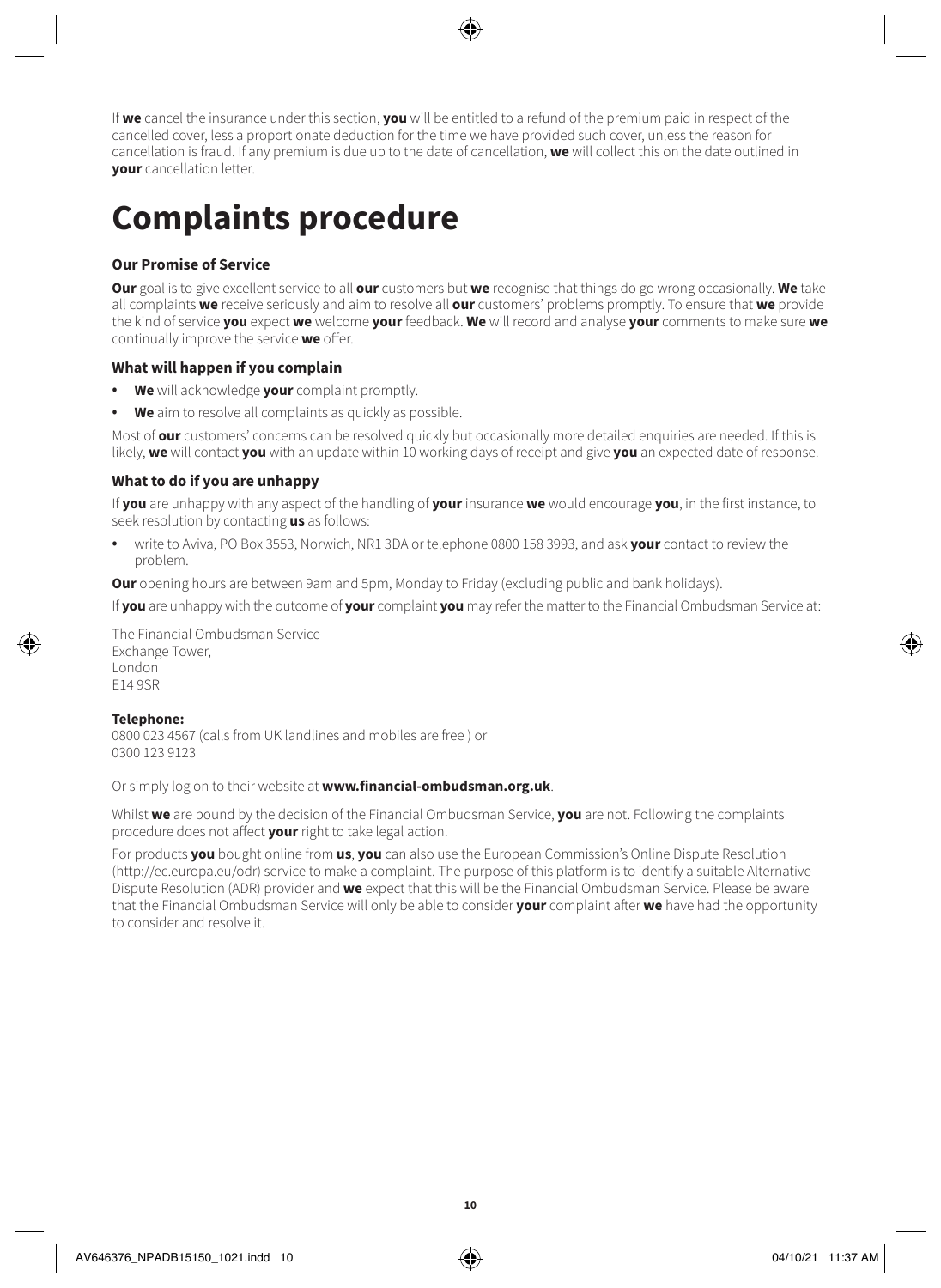If **we** cancel the insurance under this section, **you** will be entitled to a refund of the premium paid in respect of the cancelled cover, less a proportionate deduction for the time we have provided such cover, unless the reason for cancellation is fraud. If any premium is due up to the date of cancellation, **we** will collect this on the date outlined in **your** cancellation letter.

# **Complaints procedure**

### **Our Promise of Service**

**Our** goal is to give excellent service to all **our** customers but **we** recognise that things do go wrong occasionally. **We** take all complaints **we** receive seriously and aim to resolve all **our** customers' problems promptly. To ensure that **we** provide the kind of service **you** expect **we** welcome **your** feedback. **We** will record and analyse **your** comments to make sure **we** continually improve the service **we** offer.

### **What will happen if you complain**

- **We** will acknowledge **your** complaint promptly.
- **We** aim to resolve all complaints as quickly as possible.

Most of **our** customers' concerns can be resolved quickly but occasionally more detailed enquiries are needed. If this is likely, **we** will contact **you** with an update within 10 working days of receipt and give **you** an expected date of response.

### **What to do if you are unhappy**

If **you** are unhappy with any aspect of the handling of **your** insurance **we** would encourage **you**, in the first instance, to seek resolution by contacting **us** as follows:

• write to Aviva, PO Box 3553, Norwich, NR1 3DA or telephone 0800 158 3993, and ask **your** contact to review the problem.

**Our** opening hours are between 9am and 5pm, Monday to Friday (excluding public and bank holidays).

If **you** are unhappy with the outcome of **your** complaint **you** may refer the matter to the Financial Ombudsman Service at:

The Financial Ombudsman Service Exchange Tower, London E14 9SR

#### **Telephone:**

0800 023 4567 (calls from UK landlines and mobiles are free ) or 0300 123 9123

Or simply log on to their website at **[www.financial-ombudsman.org.uk](http://www.financial-ombudsman.org.uk)**.

Whilst **we** are bound by the decision of the Financial Ombudsman Service, **you** are not. Following the complaints procedure does not affect **your** right to take legal action.

For products **you** bought online from **us**, **you** can also use the European Commission's Online Dispute Resolution (http://ec.europa.eu/odr) service to make a complaint. The purpose of this platform is to identify a suitable Alternative Dispute Resolution (ADR) provider and **we** expect that this will be the Financial Ombudsman Service. Please be aware that the Financial Ombudsman Service will only be able to consider **your** complaint after **we** have had the opportunity to consider and resolve it.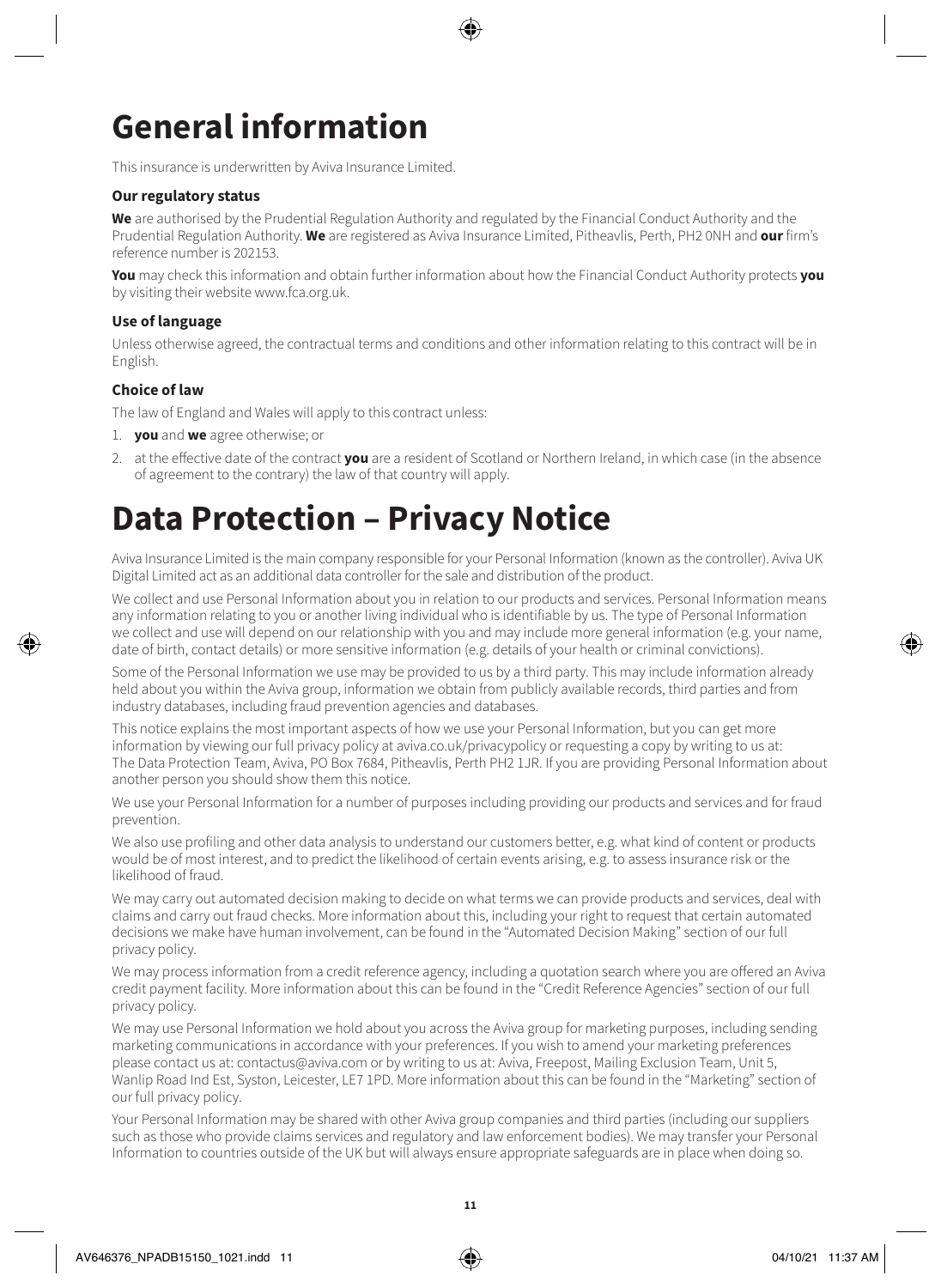# **General information**

This insurance is underwritten by Aviva Insurance Limited.

### **Our regulatory status**

**We** are authorised by the Prudential Regulation Authority and regulated by the Financial Conduct Authority and the Prudential Regulation Authority. **We** are registered as Aviva Insurance Limited, Pitheavlis, Perth, PH2 0NH and **our** firm's reference number is 202153.

**You** may check this information and obtain further information about how the Financial Conduct Authority protects **you** by visiting their website [www.fca.org.uk](http://www.fca.org.uk).

### **Use of language**

Unless otherwise agreed, the contractual terms and conditions and other information relating to this contract will be in English.

### **Choice of law**

The law of England and Wales will apply to this contract unless:

- 1. **you** and **we** agree otherwise; or
- 2. at the effective date of the contract **you** are a resident of Scotland or Northern Ireland, in which case (in the absence of agreement to the contrary) the law of that country will apply.

### **Data Protection – Privacy Notice**

Aviva Insurance Limited is the main company responsible for your Personal Information (known as the controller). Aviva UK Digital Limited act as an additional data controller for the sale and distribution of the product.

We collect and use Personal Information about you in relation to our products and services. Personal Information means any information relating to you or another living individual who is identifiable by us. The type of Personal Information we collect and use will depend on our relationship with you and may include more general information (e.g. your name, date of birth, contact details) or more sensitive information (e.g. details of your health or criminal convictions).

Some of the Personal Information we use may be provided to us by a third party. This may include information already held about you within the Aviva group, information we obtain from publicly available records, third parties and from industry databases, including fraud prevention agencies and databases.

This notice explains the most important aspects of how we use your Personal Information, but you can get more information by viewing our full privacy policy at [aviva.co.uk/privacypolicy](http://aviva.co.uk/privacypolicy) or requesting a copy by writing to us at: The Data Protection Team, Aviva, PO Box 7684, Pitheavlis, Perth PH2 1JR. If you are providing Personal Information about another person you should show them this notice.

We use your Personal Information for a number of purposes including providing our products and services and for fraud prevention.

We also use profiling and other data analysis to understand our customers better, e.g. what kind of content or products would be of most interest, and to predict the likelihood of certain events arising, e.g. to assess insurance risk or the likelihood of fraud.

We may carry out automated decision making to decide on what terms we can provide products and services, deal with claims and carry out fraud checks. More information about this, including your right to request that certain automated decisions we make have human involvement, can be found in the "Automated Decision Making" section of our full privacy policy.

We may process information from a credit reference agency, including a quotation search where you are offered an Aviva credit payment facility. More information about this can be found in the "Credit Reference Agencies" section of our full privacy policy.

We may use Personal Information we hold about you across the Aviva group for marketing purposes, including sending marketing communications in accordance with your preferences. If you wish to amend your marketing preferences please contact us at: [contactus@aviva.com](mailto:contactus@aviva.com) or by writing to us at: Aviva, Freepost, Mailing Exclusion Team, Unit 5, Wanlip Road Ind Est, Syston, Leicester, LE7 1PD. More information about this can be found in the "Marketing" section of our full privacy policy.

Your Personal Information may be shared with other Aviva group companies and third parties (including our suppliers such as those who provide claims services and regulatory and law enforcement bodies). We may transfer your Personal Information to countries outside of the UK but will always ensure appropriate safeguards are in place when doing so.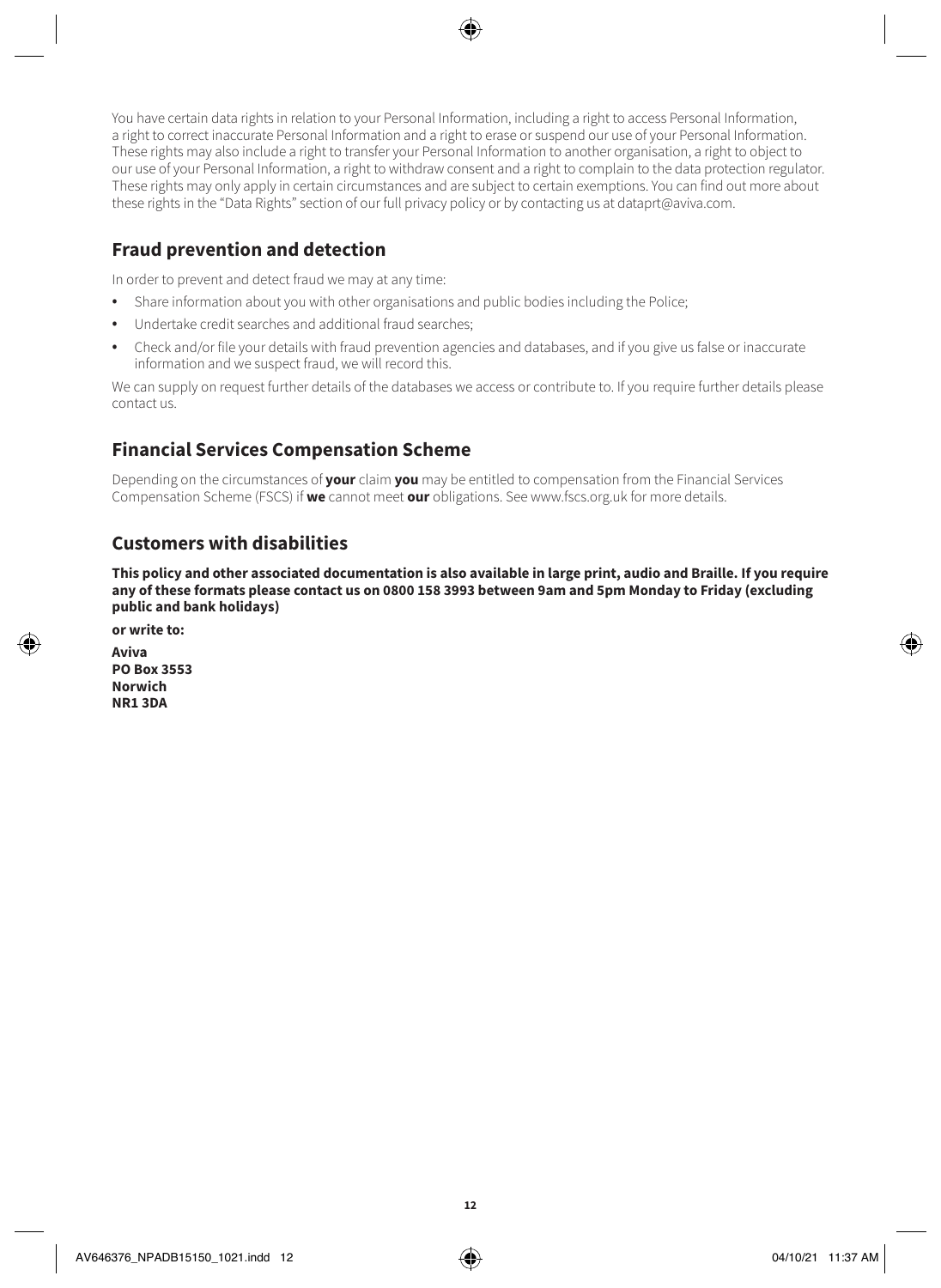You have certain data rights in relation to your Personal Information, including a right to access Personal Information, a right to correct inaccurate Personal Information and a right to erase or suspend our use of your Personal Information. These rights may also include a right to transfer your Personal Information to another organisation, a right to object to our use of your Personal Information, a right to withdraw consent and a right to complain to the data protection regulator. These rights may only apply in certain circumstances and are subject to certain exemptions. You can find out more about these rights in the "Data Rights" section of our full privacy policy or by contacting us at [dataprt@aviva.com.](mailto:dataprt@aviva.com)

### **Fraud prevention and detection**

In order to prevent and detect fraud we may at any time:

- Share information about you with other organisations and public bodies including the Police;
- Undertake credit searches and additional fraud searches;
- Check and/or file your details with fraud prevention agencies and databases, and if you give us false or inaccurate information and we suspect fraud, we will record this.

We can supply on request further details of the databases we access or contribute to. If you require further details please contact us.

### **Financial Services Compensation Scheme**

Depending on the circumstances of **your** claim **you** may be entitled to compensation from the Financial Services Compensation Scheme (FSCS) if **we** cannot meet **our** obligations. See [www.fscs.org.uk](http://www.fscs.org.uk) for more details.

### **Customers with disabilities**

**This policy and other associated documentation is also available in large print, audio and Braille. If you require any of these formats please contact us on 0800 158 3993 between 9am and 5pm Monday to Friday (excluding public and bank holidays)**

**or write to:**

**Aviva PO Box 3553 Norwich NR1 3DA**